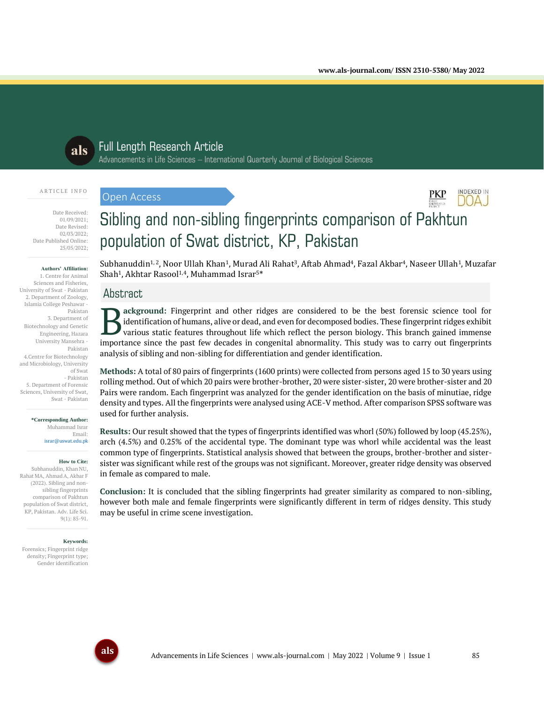INDEXED IN  $D(A)$ 



# Full Length Research Article

Advancements in Life Sciences – International Quarterly Journal of Biological Sciences

#### A R T I C L E I N F O

Date Received: 01/09/2021; Date Revised: 02/03/2022;

Date Published Online: 25/05/2022;

#### **Authors' Affiliation:**

1. Centre for Animal Sciences and Fisheries, University of Swat - Pakistan 2. Department of Zoology, Islamia College Peshawar - Pakistan 3. Department of Biotechnology and Genetic Engineering, Hazara University Mansehra - Pakistan 4.Centre for Biotechnology and Microbiology, University of Swat - Pakistan 5. Department of Forensic Sciences, University of Swat, Swat - Pakistan

#### **\*Corresponding Author:** Muhammad Israr Email: israr@uswat.edu.pk

**How to Cite:**

Subhanuddin, Khan NU, Rahat MA, Ahmad A, Akbar F (2022). Sibling and nonsibling fingerprints comparison of Pakhtun population of Swat district, KP, Pakistan. Adv. Life Sci. 9(1): 85-91.

#### **Keywords:**

Forensics; Fingerprint ridge density; Fingerprint type; Gender identification

# Sibling and non-sibling fingerprints comparison of Pakhtun population of Swat district, KP, Pakistan

Subhanuddin<sup>1, 2</sup>, Noor Ullah Khan<sup>1</sup>, Murad Ali Rahat<sup>3</sup>, Aftab Ahmad<sup>4</sup>, Fazal Akbar<sup>4</sup>, Naseer Ullah<sup>1</sup>, Muzafar Shah<sup>1</sup>, Akhtar Rasool<sup>1,4</sup>, Muhammad Israr<sup>5\*</sup>

# **Abstract**

Open Access

**ackground:** Fingerprint and other ridges are considered to be the best forensic science tool for identification of humans, alive or dead, and even for decomposed bodies. These fingerprint ridges exhibit various static features throughout life which reflect the person biology. This branch gained immense **importance** in Fingerprint and other ridges are considered to be the best forensic science tool for identification of humans, alive or dead, and even for decomposed bodies. These fingerprint ridges exhibit various static analysis of sibling and non-sibling for differentiation and gender identification.

**Methods:** A total of 80 pairs of fingerprints (1600 prints) were collected from persons aged 15 to 30 years using rolling method. Out of which 20 pairs were brother-brother, 20 were sister-sister, 20 were brother-sister and 20 Pairs were random. Each fingerprint was analyzed for the gender identification on the basis of minutiae, ridge density and types. All the fingerprints were analysed using ACE-V method. After comparison SPSS software was used for further analysis.

**Results:** Our result showed that the types of fingerprints identified was whorl (50%) followed by loop (45.25%), arch (4.5%) and 0.25% of the accidental type. The dominant type was whorl while accidental was the least common type of fingerprints. Statistical analysis showed that between the groups, brother-brother and sistersister was significant while rest of the groups was not significant. Moreover, greater ridge density was observed in female as compared to male.

**Conclusion:** It is concluded that the sibling fingerprints had greater similarity as compared to non-sibling, however both male and female fingerprints were significantly different in term of ridges density. This study may be useful in crime scene investigation.

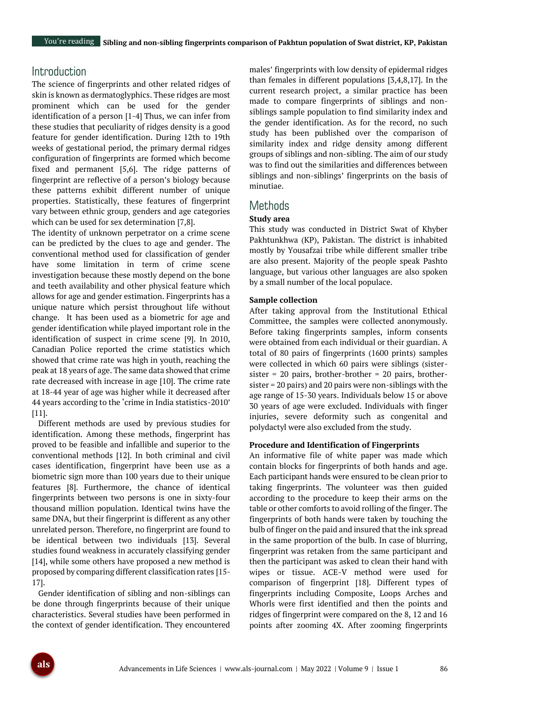# **Introduction**

The science of fingerprints and other related ridges of skin is known as dermatoglyphics. These ridges are most prominent which can be used for the gender identification of a person [1-4] Thus, we can infer from these studies that peculiarity of ridges density is a good feature for gender identification. During 12th to 19th weeks of gestational period, the primary dermal ridges configuration of fingerprints are formed which become fixed and permanent [5,6]. The ridge patterns of fingerprint are reflective of a person's biology because these patterns exhibit different number of unique properties. Statistically, these features of fingerprint vary between ethnic group, genders and age categories which can be used for sex determination [7,8].

The identity of unknown perpetrator on a crime scene can be predicted by the clues to age and gender. The conventional method used for classification of gender have some limitation in term of crime scene investigation because these mostly depend on the bone and teeth availability and other physical feature which allows for age and gender estimation. Fingerprints has a unique nature which persist throughout life without change. It has been used as a biometric for age and gender identification while played important role in the identification of suspect in crime scene [9]. In 2010, Canadian Police reported the crime statistics which showed that crime rate was high in youth, reaching the peak at 18 years of age. The same data showed that crime rate decreased with increase in age [10]. The crime rate at 18-44 year of age was higher while it decreased after 44 years according to the 'crime in India statistics-2010' [11].

Different methods are used by previous studies for identification. Among these methods, fingerprint has proved to be feasible and infallible and superior to the conventional methods [12]. In both criminal and civil cases identification, fingerprint have been use as a biometric sign more than 100 years due to their unique features [8]. Furthermore, the chance of identical fingerprints between two persons is one in sixty-four thousand million population. Identical twins have the same DNA, but their fingerprint is different as any other unrelated person. Therefore, no fingerprint are found to be identical between two individuals [13]. Several studies found weakness in accurately classifying gender [14], while some others have proposed a new method is proposed by comparing different classification rates [15- 17].

Gender identification of sibling and non-siblings can be done through fingerprints because of their unique characteristics. Several studies have been performed in the context of gender identification. They encountered

males' fingerprints with low density of epidermal ridges than females in different populations [3,4,8,17]. In the current research project, a similar practice has been made to compare fingerprints of siblings and nonsiblings sample population to find similarity index and the gender identification. As for the record, no such study has been published over the comparison of similarity index and ridge density among different groups of siblings and non-sibling. The aim of our study was to find out the similarities and differences between siblings and non-siblings' fingerprints on the basis of minutiae.

## Methods

#### **Study area**

This study was conducted in District Swat of Khyber Pakhtunkhwa (KP), Pakistan. The district is inhabited mostly by Yousafzai tribe while different smaller tribe are also present. Majority of the people speak Pashto language, but various other languages are also spoken by a small number of the local populace.

#### **Sample collection**

After taking approval from the Institutional Ethical Committee, the samples were collected anonymously. Before taking fingerprints samples, inform consents were obtained from each individual or their guardian. A total of 80 pairs of fingerprints (1600 prints) samples were collected in which 60 pairs were siblings (sistersister = 20 pairs, brother-brother = 20 pairs, brothersister = 20 pairs) and 20 pairs were non-siblings with the age range of 15-30 years. Individuals below 15 or above 30 years of age were excluded. Individuals with finger injuries, severe deformity such as congenital and polydactyl were also excluded from the study.

#### **Procedure and Identification of Fingerprints**

An informative file of white paper was made which contain blocks for fingerprints of both hands and age. Each participant hands were ensured to be clean prior to taking fingerprints. The volunteer was then guided according to the procedure to keep their arms on the table or other comforts to avoid rolling of the finger. The fingerprints of both hands were taken by touching the bulb of finger on the paid and insured that the ink spread in the same proportion of the bulb. In case of blurring, fingerprint was retaken from the same participant and then the participant was asked to clean their hand with wipes or tissue. ACE-V method were used for comparison of fingerprint [18]. Different types of fingerprints including Composite, Loops Arches and Whorls were first identified and then the points and ridges of fingerprint were compared on the 8, 12 and 16 points after zooming 4X. After zooming fingerprints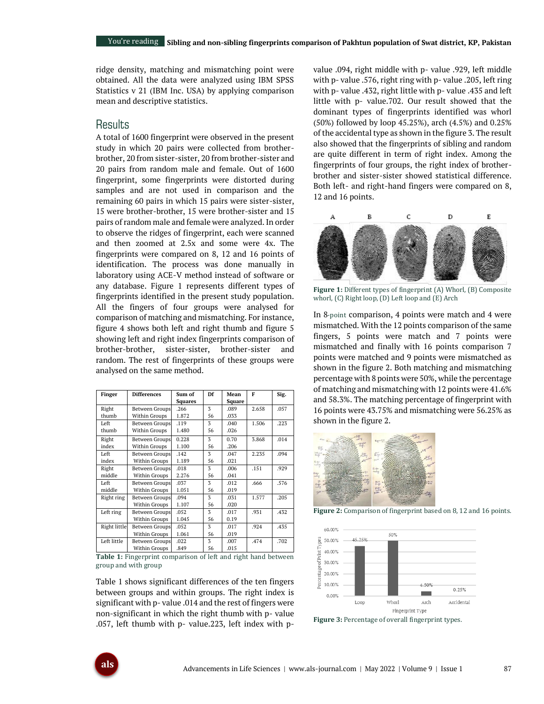ridge density, matching and mismatching point were obtained. All the data were analyzed using IBM SPSS Statistics v 21 (IBM Inc. USA) by applying comparison mean and descriptive statistics.

# **Results**

A total of 1600 fingerprint were observed in the present study in which 20 pairs were collected from brotherbrother, 20 from sister-sister, 20 from brother-sister and 20 pairs from random male and female. Out of 1600 fingerprint, some fingerprints were distorted during samples and are not used in comparison and the remaining 60 pairs in which 15 pairs were sister-sister, 15 were brother-brother, 15 were brother-sister and 15 pairs of random male and female were analyzed. In order to observe the ridges of fingerprint, each were scanned and then zoomed at 2.5x and some were 4x. The fingerprints were compared on 8, 12 and 16 points of identification. The process was done manually in laboratory using ACE-V method instead of software or any database. Figure 1 represents different types of fingerprints identified in the present study population. All the fingers of four groups were analysed for comparison of matching and mismatching. For instance, figure 4 shows both left and right thumb and figure 5 showing left and right index fingerprints comparison of brother-brother, sister-sister, brother-sister and random. The rest of fingerprints of these groups were analysed on the same method.

| <b>Finger</b> | <b>Differences</b>    | Df<br>Sum of   |    | Mean          | F     | Sig. |
|---------------|-----------------------|----------------|----|---------------|-------|------|
|               |                       | <b>Squares</b> |    | <b>Square</b> |       |      |
| Right         | Between Groups        | .266           | 3  | .089          | 2.658 | .057 |
| thumb         | Within Groups         | 1.872          | 56 | .033          |       |      |
| Left          | Between Groups        | .119           | 3  | .040          | 1.506 | .223 |
| thumb         | Within Groups         | 1.480          | 56 | .026          |       |      |
| Right         | <b>Between Groups</b> | 0.228          | 3  | 0.70          | 3.868 | .014 |
| index         | Within Groups         | 1.100          | 56 | .206          |       |      |
| Left          | <b>Between Groups</b> | .142           | 3  | .047          | 2.235 | .094 |
| index         | Within Groups         | 1.189          | 56 | .021          |       |      |
| Right         | <b>Between Groups</b> | .018           | 3  | .006          | .151  | .929 |
| middle        | Within Groups         | 2.276          | 56 | .041          |       |      |
| Left          | Between Groups        | .037           | 3  | .012          | .666  | .576 |
| middle        | Within Groups         | 1.051          | 56 | .019          |       |      |
| Right ring    | <b>Between Groups</b> | .094           | 3  | .031          | 1.577 | .205 |
|               | Within Groups         | 1.107          | 56 | .020          |       |      |
| Left ring     | Between Groups        | .052           | 3  | .017          | .931  | .432 |
|               | Within Groups         | 1.045          | 56 | 0.19          |       |      |
| Right little  | Between Groups        | .052           | 3  | .017          | .924  | .435 |
|               | Within Groups         | 1.061          | 56 | .019          |       |      |
| Left little   | Between Groups        | .022           | 3  | .007          | .474  | .702 |
|               | Within Groups         | .849           | 56 | .015          |       |      |

**Table 1:** Fingerprint comparison of left and right hand between group and with group

Table 1 shows significant differences of the ten fingers between groups and within groups. The right index is significant with p- value .014 and the rest of fingers were non-significant in which the right thumb with p- value .057, left thumb with p- value.223, left index with pvalue .094, right middle with p- value .929, left middle with p- value .576, right ring with p- value .205, left ring with p- value .432, right little with p- value .435 and left little with p- value.702. Our result showed that the dominant types of fingerprints identified was whorl (50%) followed by loop 45.25%), arch (4.5%) and 0.25% of the accidental type as shown in the figure 3. The result also showed that the fingerprints of sibling and random are quite different in term of right index. Among the fingerprints of four groups, the right index of brotherbrother and sister-sister showed statistical difference. Both left- and right-hand fingers were compared on 8, 12 and 16 points.



**Figure 1:** Different types of fingerprint (A) Whorl, (B) Composite whorl, (C) Right loop, (D) Left loop and (E) Arch

In 8-point comparison, 4 points were match and 4 were mismatched. With the 12 points comparison of the same fingers, 5 points were match and 7 points were mismatched and finally with 16 points comparison 7 points were matched and 9 points were mismatched as shown in the figure 2. Both matching and mismatching percentage with 8 points were 50%, while the percentage of matching and mismatching with 12 points were 41.6% and 58.3%. The matching percentage of fingerprint with 16 points were 43.75% and mismatching were 56.25% as shown in the figure 2.



**Figure 2:** Comparison of fingerprint based on 8, 12 and 16 points.



**Figure 3:** Percentage of overall fingerprint types.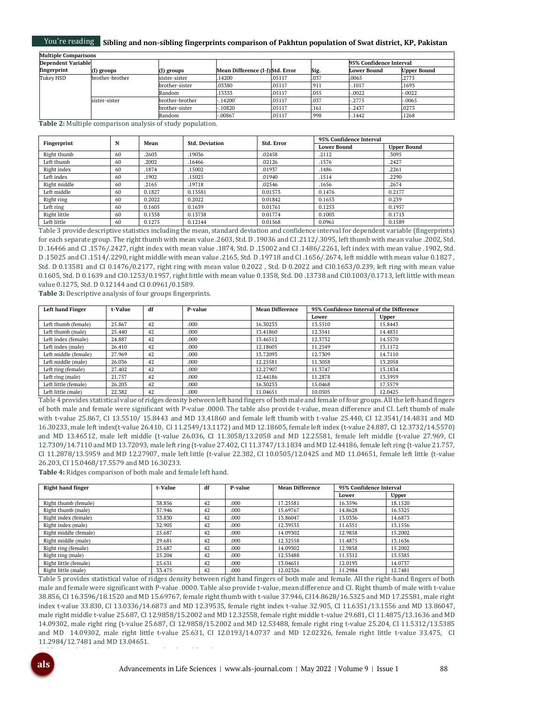#### You're reading **Sibling and non-sibling fingerprints comparison of Pakhtun population of Swat district, KP, Pakistan**

| <b>Multiple Comparisons</b> |                 |                 |                                 |        |      |                         |                    |
|-----------------------------|-----------------|-----------------|---------------------------------|--------|------|-------------------------|--------------------|
| <b>Dependent Variable</b>   |                 |                 |                                 |        |      | 95% Confidence Interval |                    |
| fingerprint                 | (I) groups      | (J) groups      | Mean Difference (I-J)Std. Error |        | Sig. | <b>Lower Bound</b>      | <b>Upper Bound</b> |
| Tukey HSD                   | brother-brother | sister-sister   | 14200                           | .05117 | .037 | .0065                   | .2775              |
|                             |                 | brother-sister  | .03380                          | .05117 | .911 | $-.1017$                | .1693              |
|                             |                 | Random          | 13333                           | .05117 | .055 | $-.0022$                | $-.0022$           |
|                             | sister-sister   | brother-brother | .14200°                         | .05117 | .037 | $-.2775$                | $-.0065$           |
|                             |                 | brother-sister  | .10820                          | .05117 | .161 | $-.2437$                | .0273              |
|                             |                 | Random          | $-.00867$                       | .05117 | .998 | $-0.1442$               | .1268              |

**Table 2:** Multiple comparison analysis of study population.

| Fingerprint  | N  | Mean   | <b>Std. Deviation</b> | Std. Error | 95% Confidence Interval |                    |
|--------------|----|--------|-----------------------|------------|-------------------------|--------------------|
|              |    |        |                       |            | <b>Lower Bound</b>      | <b>Upper Bound</b> |
| Right thumb  | 60 | .2603  | .19036                | .02458     | .2112                   | .3095              |
| Left thumb   | 60 | .2002  | .16466                | .02126     | .1576                   | .2427              |
| Right index  | 60 | 1874   | .15002                | .01937     | .1486                   | .2261              |
| Left index   | 60 | 1902   | .15025                | .01940     | .1514                   | .2290              |
| Right middle | 60 | .2165  | .19718                | .02546     | .1656                   | .2674              |
| Left middle  | 60 | 0.1827 | 0.13581               | 0.01573    | 0.1476                  | 0.2177             |
| Right ring   | 60 | 0.2022 | 0.2022                | 0.01842    | 0.1653                  | 0.239              |
| Left ring    | 60 | 0.1605 | 0.1639                | 0.01761    | 0.1253                  | 0.1957             |
| Right little | 60 | 0.1358 | 0.13738               | 0.01774    | 0.1003                  | 0.1713             |
| Left little  | 60 | 0.1275 | 0.12144               | 0.01568    | 0.0961                  | 0.1589             |

Table 3 provide descriptive statistics including the mean, standard deviation and confidence interval for dependent variable (fingerprints) for each separate group. The right thumb with mean value .2603, Std. D .19036 and CI .2112/.3095, left thumb with mean value .2002, Std. D .16466 and CI .1576/.2427, right index with mean value .1874, Std. D .15002 and CI .1486/.2261, left index with mean value .1902, Std. D .15025 and CI .1514/.2290, right middle with mean value .2165, Std. D .19718 and CI .1656/.2674, left middle with mean value 0.1827 , Std. D 0.13581 and CI 0.1476/0.2177, right ring with mean value 0.2022 , Std. D 0.2022 and CI0.1653/0.239, left ring with mean value 0.1605, Std. D 0.1639 and CI0.1253/0.1957, right little with mean value 0.1358, Std. D0 .13738 and CI0.1003/0.1713, left little with mean value 0.1275, Std. D 0.12144 and CI 0.0961/0.1589.

**Table 3:** Descriptive analysis of four groups fingerprints.

| <b>Left hand Finger</b> | t-Value | df | P-value | <b>Mean Difference</b> | 95% Confidence Interval of the Difference |              |
|-------------------------|---------|----|---------|------------------------|-------------------------------------------|--------------|
|                         |         |    |         |                        | Lower                                     | <b>Upper</b> |
| Left thumb (female)     | 25.867  | 42 | .000    | 16.30233               | 13.5510                                   | 15.8443      |
| Left thumb (male)       | 25.440  | 42 | .000    | 13.41860               | 12.3541                                   | 14.4831      |
| Left index (female)     | 24.887  | 42 | .000    | 13.46512               | 12.3732                                   | 14.5570      |
| Left index (male)       | 26.410  | 42 | .000    | 12.18605               | 11.2549                                   | 13.1172      |
| Left middle (female)    | 27.969  | 42 | .000    | 13.72093               | 12.7309                                   | 14.7110      |
| Left middle (male)      | 26.036  | 42 | .000    | 12.25581               | 11.3058                                   | 13.2058      |
| Left ring (female)      | 27.402  | 42 | .000    | 12.27907               | 11.3747                                   | 13.1834      |
| Left ring (male)        | 21.757  | 42 | .000    | 12.44186               | 11.2878                                   | 13.5959      |
| Left little (female)    | 26.203  | 42 | .000    | 16.30233               | 15.0468                                   | 17.5579      |
| Left little (male)      | 22.382  | 42 | .000    | 11.04651               | 10.0505                                   | 12.0425      |

Table 4 provides statistical value of ridges density between left hand fingers of both male and female of four groups. All the left-hand fingers of both male and female were significant with P-value .0000. The table also provide t-value, mean difference and CI. Left thumb of male with t-value 25.867, CI 13.5510/ 15.8443 and MD 13.41860 and female left thumb with t-value 25.440, CI 12.3541/14.4831 and MD 16.30233, male left index(t-value 26.410, CI 11.2549/13.1172) and MD 12.18605, female left index (t-value 24.887, CI 12.3732/14.5570) and MD 13.46512, male left middle (t-value 26.036, CI 11.3058/13.2058 and MD 12.25581, female left middle (t-value 27.969, CI 12.7309/14.7110 and MD 13.72093, male left ring (t-value 27.402, CI 11.3747/13.1834 and MD 12.44186, female left ring (t-value 21.757, CI 11.2878/13.5959 and MD 12.27907, male left little (t-value 22.382, CI 10.0505/12.0425 and MD 11.04651, female left little (t-value 26.203, CI 15.0468/17.5579 and MD 16.30233.

**Table 4:** Ridges comparison of both male and female left hand.

**Table 5:** Right hand ridges comparison of male and female.

| <b>Right hand finger</b> | t-Value | df | P-value | <b>Mean Difference</b> | 95% Confidence Interval |         |
|--------------------------|---------|----|---------|------------------------|-------------------------|---------|
|                          |         |    |         |                        | Lower                   | Upper   |
| Right thumb (female)     | 38.856  | 42 | .000    | 17.25581               | 16.3596                 | 18.1520 |
| Right thumb (male)       | 37.946  | 42 | .000    | 15.69767               | 14.8628                 | 16.5325 |
| Right index (female)     | 33.830  | 42 | .000    | 13.86047               | 13.0336                 | 14.6873 |
| Right index (male)       | 32.905  | 42 | .000    | 12.39535               | 11.6351                 | 13.1556 |
| Right middle (female)    | 25.687  | 42 | .000    | 14.09302               | 12.9858                 | 15.2002 |
| Right middle (male)      | 29.681  | 42 | .000    | 12.32558               | 11.4875                 | 13.1636 |
| Right ring (female)      | 25.687  | 42 | .000    | 14.09302               | 12.9858                 | 15.2002 |
| Right ring (male)        | 25.204  | 42 | .000    | 12.53488               | 11.5312                 | 13.5385 |
| Right little (female)    | 25.631  | 42 | .000    | 13.04651               | 12.0193                 | 14.0737 |
| Right little (male)      | 33.475  | 42 | .000    | 12.02326               | 11.2984                 | 12.7481 |

Table 5 provides statistical value of ridges density between right hand fingers of both male and female. All the right-hand fingers of both male and female were significant with P-value .0000. Table also provide t-value, mean difference and CI. Right thumb of male with t-value 38.856, CI 16.3596/18.1520 and MD 15.69767, female right thumb with t-value 37.946, CI14.8628/16.5325 and MD 17.25581, male right index t-value 33.830, CI 13.0336/14.6873 and MD 12.39535, female right index t-value 32.905, CI 11.6351/13.1556 and MD 13.86047, male right middle t-value 25.687, CI 12.9858/15.2002 and MD 12.32558, female right middle t-value 29.681, CI 11.4875/13.1636 and MD 14.09302, male right ring (t-value 25.687, CI 12.9858/15.2002 and MD 12.53488, female right ring t-value 25.204, CI 11.5312/13.5385 and MD 14.09302, male right little t-value 25.631, CI 12.0193/14.0737 and MD 12.02326, female right little t-value 33.475, CI 11.2984/12.7481 and MD 13.04651.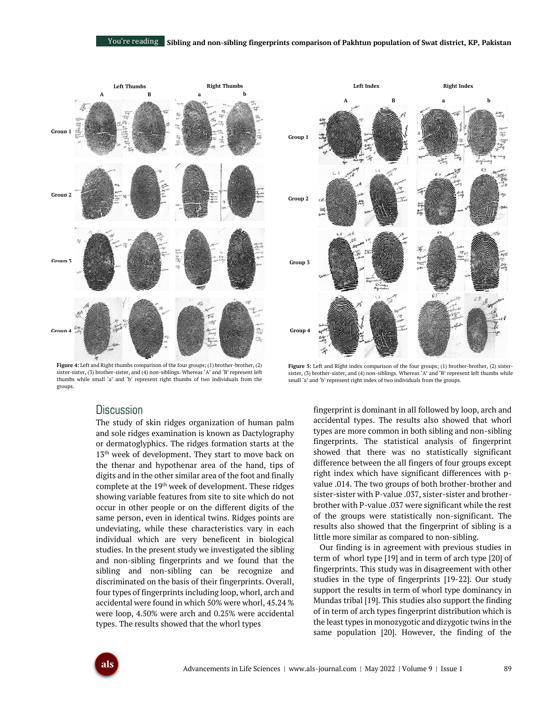

**Figure 4:** Left and Right thumbs comparison of the four groups; (1) brother-brother, (2) sister-sister, (3) brother-sister, and (4) non-siblings. Whereas 'A' and 'B' represent left thumbs while small 'a' and 'b' represent right thumbs of two individuals from the groups.

# **A B a b Group 1**  $\overline{1}$ **Group 2** R9 **Group 3 Group 4**

**Right Index**

**Left Index**

Figure 5: Left and Right index comparison of the four groups; (1) brother-brother, (2) sistersister, (3) brother-sister, and (4) non-siblings. Whereas 'A' and 'B' represent left thumbs while small 'a' and 'b' represent right index of two individuals from the groups.

# **Discussion**

The study of skin ridges organization of human palm and sole ridges examination is known as Dactylography or dermatoglyphics. The ridges formation starts at the 13<sup>th</sup> week of development. They start to move back on the thenar and hypothenar area of the hand, tips of digits and in the other similar area of the foot and finally complete at the 19th week of development. These ridges showing variable features from site to site which do not occur in other people or on the different digits of the same person, even in identical twins. Ridges points are undeviating, while these characteristics vary in each individual which are very beneficent in biological studies. In the present study we investigated the sibling and non-sibling fingerprints and we found that the sibling and non-sibling can be recognize and discriminated on the basis of their fingerprints. Overall, four types of fingerprints including loop, whorl, arch and accidental were found in which 50% were whorl, 45.24 % were loop, 4.50% were arch and 0.25% were accidental types. The results showed that the whorl types

fingerprint is dominant in all followed by loop, arch and accidental types. The results also showed that whorl types are more common in both sibling and non-sibling fingerprints. The statistical analysis of fingerprint showed that there was no statistically significant difference between the all fingers of four groups except right index which have significant differences with pvalue .014. The two groups of both brother-brother and sister-sister with P-value .037, sister-sister and brotherbrother with P-value .037 were significant while the rest of the groups were statistically non-significant. The results also showed that the fingerprint of sibling is a little more similar as compared to non-sibling.

Our finding is in agreement with previous studies in term of whorl type [19] and in term of arch type [20] of fingerprints. This study was in disagreement with other studies in the type of fingerprints [19-22]. Our study support the results in term of whorl type dominancy in Mundas tribal [19]. This studies also support the finding of in term of arch types fingerprint distribution which is the least types in monozygotic and dizygotic twins in the same population [20]. However, the finding of the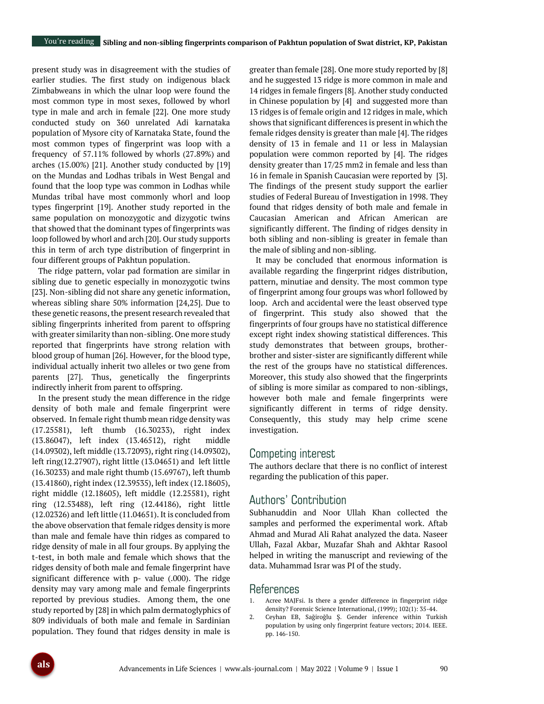present study was in disagreement with the studies of earlier studies. The first study on indigenous black Zimbabweans in which the ulnar loop were found the most common type in most sexes, followed by whorl type in male and arch in female [22]. One more study conducted study on 360 unrelated Adi karnataka population of Mysore city of Karnataka State, found the most common types of fingerprint was loop with a frequency of 57.11% followed by whorls (27.89%) and arches (15.00%) [21]. Another study conducted by [19] on the Mundas and Lodhas tribals in West Bengal and found that the loop type was common in Lodhas while Mundas tribal have most commonly whorl and loop types fingerprint [19]. Another study reported in the same population on monozygotic and dizygotic twins that showed that the dominant types of fingerprints was loop followed by whorl and arch [20]. Our study supports this in term of arch type distribution of fingerprint in four different groups of Pakhtun population.

The ridge pattern, volar pad formation are similar in sibling due to genetic especially in monozygotic twins [23]. Non-sibling did not share any genetic information, whereas sibling share 50% information [24,25]. Due to these genetic reasons, the present research revealed that sibling fingerprints inherited from parent to offspring with greater similarity than non-sibling. One more study reported that fingerprints have strong relation with blood group of human [26]. However, for the blood type, individual actually inherit two alleles or two gene from parents [27]. Thus, genetically the fingerprints indirectly inherit from parent to offspring.

In the present study the mean difference in the ridge density of both male and female fingerprint were observed. In female right thumb mean ridge density was (17.25581), left thumb (16.30233), right index (13.86047), left index (13.46512), right middle (14.09302), left middle (13.72093), right ring (14.09302), left ring(12.27907), right little (13.04651) and left little (16.30233) and male right thumb (15.69767), left thumb (13.41860), right index (12.39535), left index (12.18605), right middle (12.18605), left middle (12.25581), right ring (12.53488), left ring (12.44186), right little (12.02326) and left little (11.04651). It is concluded from the above observation that female ridges density is more than male and female have thin ridges as compared to ridge density of male in all four groups. By applying the t-test, in both male and female which shows that the ridges density of both male and female fingerprint have significant difference with p- value (.000). The ridge density may vary among male and female fingerprints reported by previous studies. Among them, the one study reported by [28] in which palm dermatoglyphics of 809 individuals of both male and female in Sardinian population. They found that ridges density in male is

greater than female [28]. One more study reported by [8] and he suggested 13 ridge is more common in male and 14 ridges in female fingers [8]. Another study conducted in Chinese population by [4] and suggested more than 13 ridges is of female origin and 12 ridges in male, which shows that significant differences is present in which the female ridges density is greater than male [4]. The ridges density of 13 in female and 11 or less in Malaysian population were common reported by [4]. The ridges density greater than 17/25 mm2 in female and less than 16 in female in Spanish Caucasian were reported by [3]. The findings of the present study support the earlier studies of Federal Bureau of Investigation in 1998. They found that ridges density of both male and female in Caucasian American and African American are significantly different. The finding of ridges density in both sibling and non-sibling is greater in female than the male of sibling and non-sibling.

It may be concluded that enormous information is available regarding the fingerprint ridges distribution, pattern, minutiae and density. The most common type of fingerprint among four groups was whorl followed by loop. Arch and accidental were the least observed type of fingerprint. This study also showed that the fingerprints of four groups have no statistical difference except right index showing statistical differences. This study demonstrates that between groups, brotherbrother and sister-sister are significantly different while the rest of the groups have no statistical differences. Moreover, this study also showed that the fingerprints of sibling is more similar as compared to non-siblings, however both male and female fingerprints were significantly different in terms of ridge density. Consequently, this study may help crime scene investigation.

# Competing interest

The authors declare that there is no conflict of interest regarding the publication of this paper.

# Authors' Contribution

Subhanuddin and Noor Ullah Khan collected the samples and performed the experimental work. Aftab Ahmad and Murad Ali Rahat analyzed the data. Naseer Ullah, Fazal Akbar, Muzafar Shah and Akhtar Rasool helped in writing the manuscript and reviewing of the data. Muhammad Israr was PI of the study.

### References

- 1. Acree MAJFsi. Is there a gender difference in fingerprint ridge density? Forensic Science International, (1999); 102(1): 35-44.
- 2. Ceyhan EB, Sağiroğlu Ş. Gender inference within Turkish population by using only fingerprint feature vectors; 2014. IEEE. pp. 146-150.